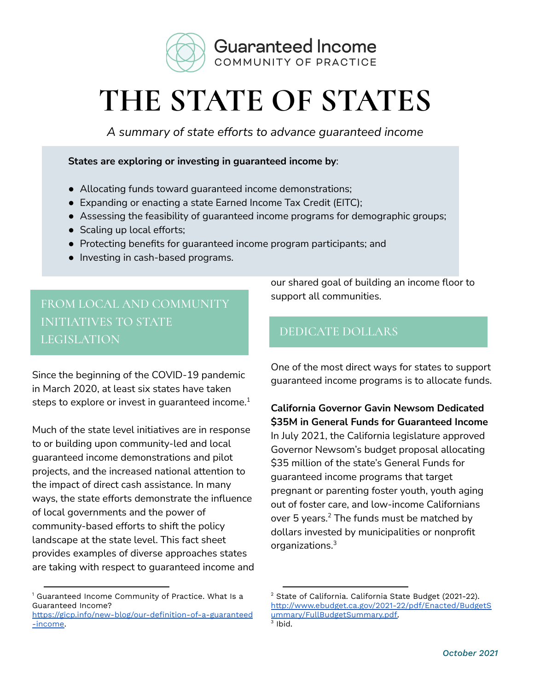

# **THE STATE OF STATES**

*A summary of state efforts to advance guaranteed income*

**States are exploring or investing in guaranteed income by**:

- Allocating funds toward guaranteed income demonstrations;
- Expanding or enacting a state Earned Income Tax Credit (EITC);
- Assessing the feasibility of guaranteed income programs for demographic groups;
- Scaling up local efforts;
- Protecting benefits for guaranteed income program participants; and
- Investing in cash-based programs.

FROM LOCAL AND COMMUNITY INITIATIVES TO STATE LEGISLATION

Since the beginning of the COVID-19 pandemic in March 2020, at least six states have taken steps to explore or invest in guaranteed income. $^{\rm 1}$ 

Much of the state level initiatives are in response to or building upon community-led and local guaranteed income demonstrations and pilot projects, and the increased national attention to the impact of direct cash assistance. In many ways, the state efforts demonstrate the influence of local governments and the power of community-based efforts to shift the policy landscape at the state level. This fact sheet provides examples of diverse approaches states are taking with respect to guaranteed income and

<sup>1</sup> Guaranteed Income Community of Practice. What Is a Guaranteed Income?

our shared goal of building an income floor to support all communities.

# DEDICATE DOLLARS

One of the most direct ways for states to support guaranteed income programs is to allocate funds.

**California Governor Gavin Newsom Dedicated \$35M in General Funds for Guaranteed Income** In July 2021, the California legislature approved Governor Newsom's budget proposal allocating \$35 million of the state's General Funds for guaranteed income programs that target pregnant or parenting foster youth, youth aging out of foster care, and low-income Californians over 5 years. $^2$  The funds must be matched by dollars invested by municipalities or nonprofit organizations. 3

[https://gicp.info/new-blog/our-definition-of-a-guaranteed](https://gicp.info/new-blog/our-definition-of-a-guaranteed-income) [-income.](https://gicp.info/new-blog/our-definition-of-a-guaranteed-income)

<sup>2</sup> State of California. California State Budget (2021-22). [http://www.ebudget.ca.gov/2021-22/pdf/Enacted/BudgetS](http://www.ebudget.ca.gov/2021-22/pdf/Enacted/BudgetSummary/FullBudgetSummary.pdf) [ummary/FullBudgetSummary.pdf.](http://www.ebudget.ca.gov/2021-22/pdf/Enacted/BudgetSummary/FullBudgetSummary.pdf)

 $3$  Ibid.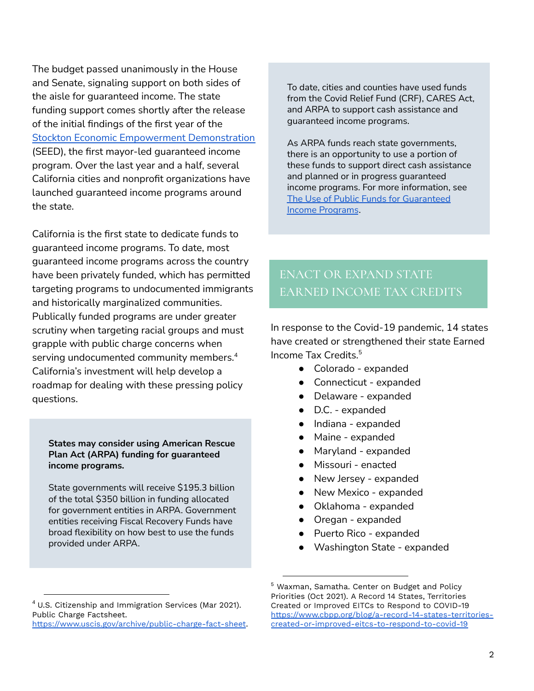The budget passed unanimously in the House and Senate, signaling support on both sides of the aisle for guaranteed income. The state funding support comes shortly after the release of the initial findings of the first year of the Stockton Economic Empowerment [Demonstration](https://www.stocktondemonstration.org/) (SEED), the first mayor-led guaranteed income program. Over the last year and a half, several California cities and nonprofit organizations have launched guaranteed income programs around the state.

California is the first state to dedicate funds to guaranteed income programs. To date, most guaranteed income programs across the country have been privately funded, which has permitted targeting programs to undocumented immigrants and historically marginalized communities. Publically funded programs are under greater scrutiny when targeting racial groups and must grapple with public charge concerns when serving undocumented community members. 4 California's investment will help develop a roadmap for dealing with these pressing policy questions.

**States may consider using American Rescue Plan Act (ARPA) funding for guaranteed income programs.**

State governments will receive \$195.3 billion of the total \$350 billion in funding allocated for government entities in ARPA. Government entities receiving Fiscal Recovery Funds have broad flexibility on how best to use the funds provided under ARPA.

To date, cities and counties have used funds from the Covid Relief Fund (CRF), CARES Act, and ARPA to support cash assistance and guaranteed income programs.

As ARPA funds reach state governments, there is an opportunity to use a portion of these funds to support direct cash assistance and planned or in progress guaranteed income programs. For more information, see The Use of Public Funds for [Guaranteed](https://gicp.info/s/Public-Funding-Fact-Sheet_July-2021_Aug-2.pdf) Income [Programs](https://gicp.info/s/Public-Funding-Fact-Sheet_July-2021_Aug-2.pdf).

# ENACT OR EXPAND STATE EARNED INCOME TAX CREDITS

In response to the Covid-19 pandemic, 14 states have created or strengthened their state Earned Income Tax Credits. 5

- Colorado expanded
- Connecticut expanded
- Delaware expanded
- D.C. expanded
- Indiana expanded
- Maine expanded
- Maryland expanded
- Missouri enacted
- New Jersey expanded
- New Mexico expanded
- Oklahoma expanded
- Oregan expanded
- Puerto Rico expanded
- Washington State expanded

 $4$  U.S. Citizenship and Immigration Services (Mar 2021). Public Charge Factsheet.

<https://www.uscis.gov/archive/public-charge-fact-sheet>.

<sup>5</sup> Waxman, Samatha. Center on Budget and Policy Priorities (Oct 2021). A Record 14 States, Territories Created or Improved EITCs to Respond to COVID-19 [https://www.cbpp.org/blog/a-record-14-states-territories](https://www.cbpp.org/blog/a-record-14-states-territories-created-or-improved-eitcs-to-respond-to-covid-19)[created-or-improved-eitcs-to-respond-to-covid-19](https://www.cbpp.org/blog/a-record-14-states-territories-created-or-improved-eitcs-to-respond-to-covid-19)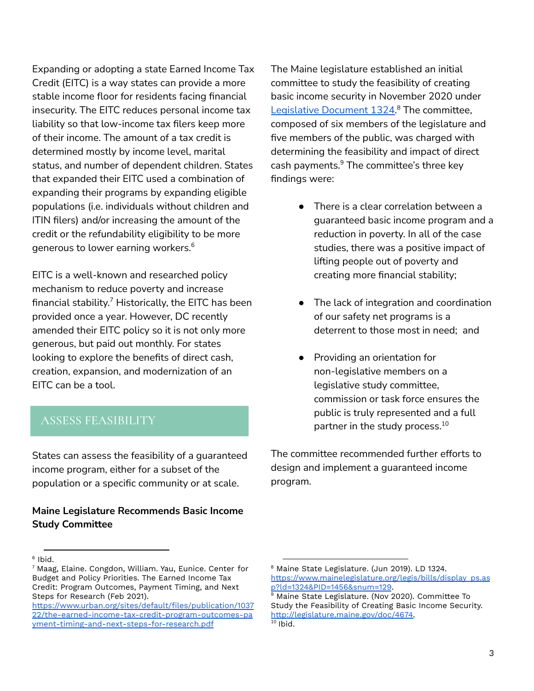Expanding or adopting a state Earned Income Tax Credit (EITC) is a way states can provide a more stable income floor for residents facing financial insecurity. The EITC reduces personal income tax liability so that low-income tax filers keep more of their income. The amount of a tax credit is determined mostly by income level, marital status, and number of dependent children. States that expanded their EITC used a combination of expanding their programs by expanding eligible populations (i.e. individuals without children and ITIN filers) and/or increasing the amount of the credit or the refundability eligibility to be more generous to lower earning workers. 6

EITC is a well-known and researched policy mechanism to reduce poverty and increase financial stability. $^7$  Historically, the EITC has been provided once a year. However, DC recently amended their EITC policy so it is not only more generous, but paid out monthly. For states looking to explore the benefits of direct cash, creation, expansion, and modernization of an EITC can be a tool.

## ASSESS FEASIBILITY

States can assess the feasibility of a guaranteed income program, either for a subset of the population or a specific community or at scale.

## **Maine Legislature Recommends Basic Income Study Committee**

The Maine legislature established an initial committee to study the feasibility of creating basic income security in November 2020 under [Legislative](https://www.mainelegislature.org/legis/bills/display_ps.asp?ld=1324&PID=1456&snum=129) Document 1324.<sup>8</sup> The committee, composed of six members of the legislature and five members of the public, was charged with determining the feasibility and impact of direct cash payments. $^9$  The committee's three key findings were:

- There is a clear correlation between a guaranteed basic income program and a reduction in poverty. In all of the case studies, there was a positive impact of lifting people out of poverty and creating more financial stability;
- The lack of integration and coordination of our safety net programs is a deterrent to those most in need; and
- Providing an orientation for non-legislative members on a legislative study committee, commission or task force ensures the public is truly represented and a full partner in the study process. 10

The committee recommended further efforts to design and implement a guaranteed income program.

<sup>6</sup> Ibid.

 $7$  Maag, Elaine. Congdon, William. Yau, Eunice. Center for Budget and Policy Priorities. The Earned Income Tax Credit: Program Outcomes, Payment Timing, and Next Steps for Research (Feb 2021).

[https://www.urban.org/sites/default/files/publication/1037](https://www.urban.org/sites/default/files/publication/103722/the-earned-income-tax-credit-program-outcomes-payment-timing-and-next-steps-for-research.pdf) [22/the-earned-income-tax-credit-program-outcomes-pa](https://www.urban.org/sites/default/files/publication/103722/the-earned-income-tax-credit-program-outcomes-payment-timing-and-next-steps-for-research.pdf) [yment-timing-and-next-steps-for-research.pdf](https://www.urban.org/sites/default/files/publication/103722/the-earned-income-tax-credit-program-outcomes-payment-timing-and-next-steps-for-research.pdf)

<sup>8</sup> Maine State Legislature. (Jun 2019). LD 1324. [https://www.mainelegislature.org/legis/bills/display\\_ps.as](https://www.mainelegislature.org/legis/bills/display_ps.asp?ld=1324&PID=1456&snum=129) [p?ld=1324&PID=1456&snum=129](https://www.mainelegislature.org/legis/bills/display_ps.asp?ld=1324&PID=1456&snum=129).

 $10$  Ibid. <sup>9</sup> Maine State Legislature. (Nov 2020). Committee To Study the Feasibility of Creating Basic Income Security. [http://legislature.maine.gov/doc/4674.](http://legislature.maine.gov/doc/4674)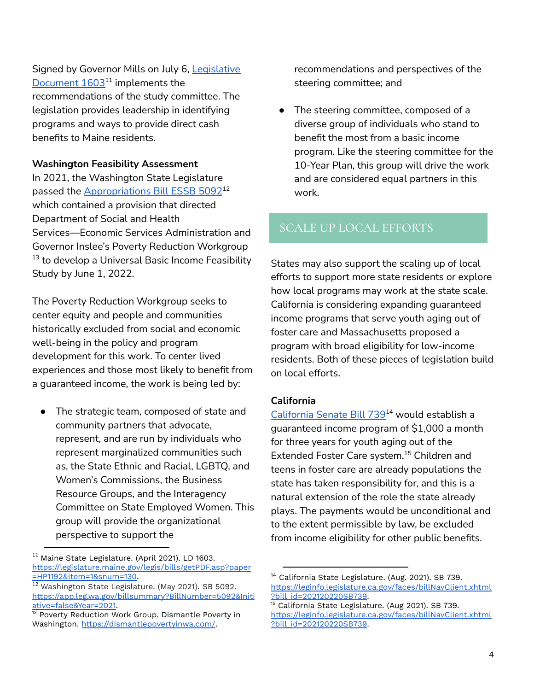Signed by Governor Mills on July 6, [Legislative](http://legislature.maine.gov/legis/bills/display_ps.asp?LD=1603&snum=130)  $Document 1603<sup>11</sup>$  $Document 1603<sup>11</sup>$  implements the recommendations of the study committee. The legislation provides leadership in identifying programs and ways to provide direct cash benefits to Maine residents.

## **Washington Feasibility Assessment**

In 2021, the Washington State Legislature passed the <u>[Appropriations](https://app.leg.wa.gov/billsummary?BillNumber=5092&Initiative=false&Year=2021) Bill ESSB 5092</u>12 which contained a provision that directed Department of Social and Health Services—Economic Services Administration and Governor Inslee's Poverty Reduction Workgroup  $13$  to develop a Universal Basic Income Feasibility Study by June 1, 2022.

The Poverty Reduction Workgroup seeks to center equity and people and communities historically excluded from social and economic well-being in the policy and program development for this work. To center lived experiences and those most likely to benefit from a guaranteed income, the work is being led by:

● The strategic team, composed of state and community partners that advocate, represent, and are run by individuals who represent marginalized communities such as, the State Ethnic and Racial, LGBTQ, and Women's Commissions, the Business Resource Groups, and the Interagency Committee on State Employed Women. This group will provide the organizational perspective to support the

 $11$  Maine State Legislature. (April 2021). LD 1603. [https://legislature.maine.gov/legis/bills/getPDF.asp?paper](https://legislature.maine.gov/legis/bills/getPDF.asp?paper=HP1192&item=1&snum=130) [=HP1192&item=1&snum=130.](https://legislature.maine.gov/legis/bills/getPDF.asp?paper=HP1192&item=1&snum=130)

recommendations and perspectives of the steering committee; and

● The steering committee, composed of a diverse group of individuals who stand to benefit the most from a basic income program. Like the steering committee for the 10-Year Plan, this group will drive the work and are considered equal partners in this work.

# SCALE UP LOCAL EFFORTS

States may also support the scaling up of local efforts to support more state residents or explore how local programs may work at the state scale. California is considering expanding guaranteed income programs that serve youth aging out of foster care and Massachusetts proposed a program with broad eligibility for low-income residents. Both of these pieces of legislation build on local efforts.

## **California**

<u>[California](https://leginfo.legislature.ca.gov/faces/billNavClient.xhtml?bill_id=202120220SB739) Senate Bill 739</u>14 would establish a guaranteed income program of \$1,000 a month for three years for youth aging out of the Extended Foster Care system.<sup>15</sup> Children and teens in foster care are already populations the state has taken responsibility for, and this is a natural extension of the role the state already plays. The payments would be unconditional and to the extent permissible by law, be excluded from income eligibility for other public benefits.

<sup>12</sup> [Washington](https://app.leg.wa.gov/billsummary?BillNumber=5092&Initiative=false&Year=2021) State Legislature. (May 2021). SB 5092. [https://app.leg.wa.gov/billsummary?BillNumber=5092&Initi](https://app.leg.wa.gov/billsummary?BillNumber=5092&Initiative=false&Year=2021) [ative=false&Year=2021.](https://app.leg.wa.gov/billsummary?BillNumber=5092&Initiative=false&Year=2021)

<sup>&</sup>lt;sup>13</sup> Poverty Reduction Work Group. Dismantle Poverty in Washington. <https://dismantlepovertyinwa.com/>.

<sup>&</sup>lt;sup>14</sup> California State Legislature. (Aug. 2021). SB 739. [https://leginfo.legislature.ca.gov/faces/billNavClient.xhtml](https://leginfo.legislature.ca.gov/faces/billNavClient.xhtml?bill_id=202120220SB739) [?bill\\_id=202120220SB739](https://leginfo.legislature.ca.gov/faces/billNavClient.xhtml?bill_id=202120220SB739).

<sup>&</sup>lt;sup>15</sup> California State Legislature. (Aug 2021). SB 739. [https://leginfo.legislature.ca.gov/faces/billNavClient.xhtml](https://leginfo.legislature.ca.gov/faces/billNavClient.xhtml?bill_id=202120220SB739) [?bill\\_id=202120220SB739](https://leginfo.legislature.ca.gov/faces/billNavClient.xhtml?bill_id=202120220SB739).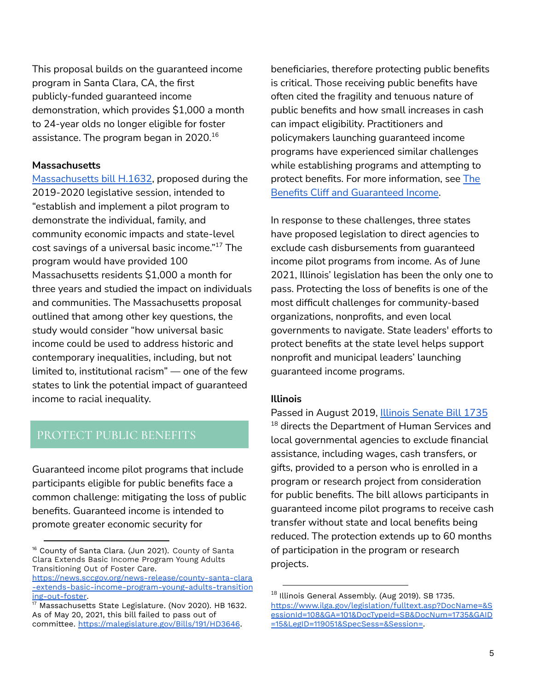This proposal builds on the guaranteed income program in Santa Clara, CA, the first publicly-funded guaranteed income demonstration, which provides \$1,000 a month to 24-year olds no longer eligible for foster assistance. The program began in 2020. 16

#### **Massachusetts**

[Massachusetts](https://malegislature.gov/Bills/191/HD3646) bill H.1632, proposed during the 2019-2020 legislative session, intended to "establish and implement a pilot program to demonstrate the individual, family, and community economic impacts and state-level cost savings of a universal basic income."<sup>17</sup> The program would have provided 100 Massachusetts residents \$1,000 a month for three years and studied the impact on individuals and communities. The Massachusetts proposal outlined that among other key questions, the study would consider "how universal basic income could be used to address historic and contemporary inequalities, including, but not limited to, institutional racism" — one of the few states to link the potential impact of guaranteed income to racial inequality.

# PROTECT PUBLIC BENEFITS

Guaranteed income pilot programs that include participants eligible for public benefits face a common challenge: mitigating the loss of public benefits. Guaranteed income is intended to promote greater economic security for

beneficiaries, therefore protecting public benefits is critical. Those receiving public benefits have often cited the fragility and tenuous nature of public benefits and how small increases in cash can impact eligibility. Practitioners and policymakers launching guaranteed income programs have experienced similar challenges while establishing programs and attempting to protect benefits. For more information, see [The](https://gicp.info/s/Benefits-Fact-SheetJune-2021.pdf) Benefits Cliff and [Guaranteed](https://gicp.info/s/Benefits-Fact-SheetJune-2021.pdf) Income.

In response to these challenges, three states have proposed legislation to direct agencies to exclude cash disbursements from guaranteed income pilot programs from income. As of June 2021, Illinois' legislation has been the only one to pass. Protecting the loss of benefits is one of the most difficult challenges for community-based organizations, nonprofits, and even local governments to navigate. State leaders' efforts to protect benefits at the state level helps support nonprofit and municipal leaders' launching guaranteed income programs.

#### **Illinois**

Passed in August 2019, Illinois [Senate](https://www.ilga.gov/legislation/fulltext.asp?DocName=&SessionId=108&GA=101&DocTypeId=SB&DocNum=1735&GAID=15&LegID=119051&SpecSess=&Session=) Bill 1735  $^{18}$  directs the Department of Human Services and local governmental agencies to exclude financial assistance, including wages, cash transfers, or gifts, provided to a person who is enrolled in a program or research project from consideration for public benefits. The bill allows participants in guaranteed income pilot programs to receive cash transfer without state and local benefits being reduced. The protection extends up to 60 months of participation in the program or research projects.

<sup>&</sup>lt;sup>16</sup> County of Santa Clara. (Jun 2021). County of Santa Clara Extends Basic Income Program Young Adults Transitioning Out of Foster Care.

[https://news.sccgov.org/news-release/county-santa-clara](https://news.sccgov.org/news-release/county-santa-clara-extends-basic-income-program-young-adults-transitioning-out-foster) [-extends-basic-income-program-young-adults-transition](https://news.sccgov.org/news-release/county-santa-clara-extends-basic-income-program-young-adults-transitioning-out-foster) [ing-out-foster](https://news.sccgov.org/news-release/county-santa-clara-extends-basic-income-program-young-adults-transitioning-out-foster).

<sup>&</sup>lt;sup>17</sup> Massachusetts State Legislature. (Nov 2020). HB 1632. As of May 20, 2021, this bill failed to pass out of committee. <https://malegislature.gov/Bills/191/HD3646>.

 $^{18}$  Illinois General Assembly. (Aug 2019). SB 1735. [https://www.ilga.gov/legislation/fulltext.asp?DocName=&S](https://www.ilga.gov/legislation/fulltext.asp?DocName=&SessionId=108&GA=101&DocTypeId=SB&DocNum=1735&GAID=15&LegID=119051&SpecSess=&Session=) [essionId=108&GA=101&DocTypeId=SB&DocNum=1735&GAID](https://www.ilga.gov/legislation/fulltext.asp?DocName=&SessionId=108&GA=101&DocTypeId=SB&DocNum=1735&GAID=15&LegID=119051&SpecSess=&Session=) [=15&LegID=119051&SpecSess=&Session=](https://www.ilga.gov/legislation/fulltext.asp?DocName=&SessionId=108&GA=101&DocTypeId=SB&DocNum=1735&GAID=15&LegID=119051&SpecSess=&Session=).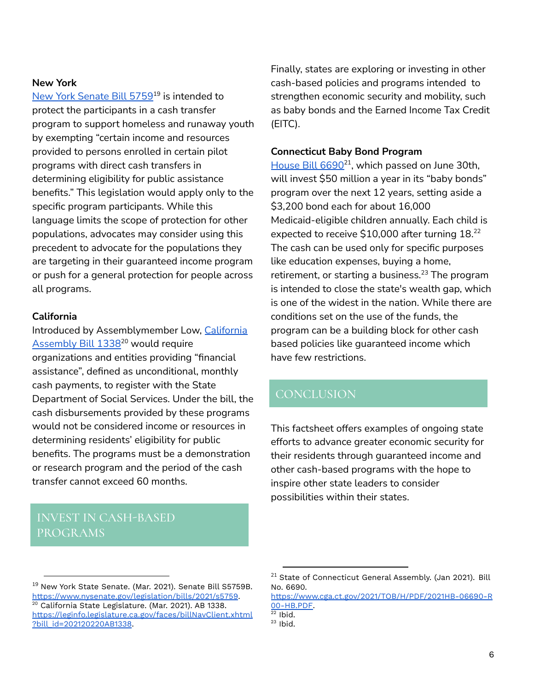## **New York**

<u>New York [Senate](https://www.nysenate.gov/legislation/bills/2021/s5759) Bill 5759</u>19 is intended to protect the participants in a cash transfer program to support homeless and runaway youth by exempting "certain income and resources provided to persons enrolled in certain pilot programs with direct cash transfers in determining eligibility for public assistance benefits." This legislation would apply only to the specific program participants. While this language limits the scope of protection for other populations, advocates may consider using this precedent to advocate for the populations they are targeting in their guaranteed income program or push for a general protection for people across all programs.

## **California**

Introduced by Assemblymember Low, [California](https://leginfo.legislature.ca.gov/faces/billNavClient.xhtml?bill_id=202120220AB1338) [Assembly](https://leginfo.legislature.ca.gov/faces/billNavClient.xhtml?bill_id=202120220AB1338) Bill 1338<sup>20</sup> would require organizations and entities providing "financial assistance", defined as unconditional, monthly cash payments, to register with the State Department of Social Services. Under the bill, the cash disbursements provided by these programs would not be considered income or resources in determining residents' eligibility for public benefits. The programs must be a demonstration or research program and the period of the cash transfer cannot exceed 60 months.

## INVEST IN CASH-BASED PROGRAMS

Finally, states are exploring or investing in other cash-based policies and programs intended to strengthen economic security and mobility, such as baby bonds and the Earned Income Tax Credit (EITC).

#### **Connecticut Baby Bond Program**

 $\frac{\text{House Bill } 6690^{21}}{\text{Number of the provided HTML}}$  $\frac{\text{House Bill } 6690^{21}}{\text{Number of the provided HTML}}$  $\frac{\text{House Bill } 6690^{21}}{\text{Number of the provided HTML}}$ , which passed on June 30th, will invest \$50 million a year in its "baby bonds" program over the next 12 years, setting aside a \$3,200 bond each for about 16,000 Medicaid-eligible children annually. Each child is expected to receive \$10,000 after turning 18. 22 The cash can be used only for specific purposes like education expenses, buying a home, retirement, or starting a business. <sup>23</sup> The program is intended to close the state's wealth gap, which is one of the widest in the nation. While there are conditions set on the use of the funds, the program can be a building block for other cash based policies like guaranteed income which have few restrictions.

## **CONCLUSION**

This factsheet offers examples of ongoing state efforts to advance greater economic security for their residents through guaranteed income and other cash-based programs with the hope to inspire other state leaders to consider possibilities within their states.

 $22$  Ibid.

<sup>20</sup> California State Legislature. (Mar. 2021). AB 1338. [https://leginfo.legislature.ca.gov/faces/billNavClient.xhtml](https://leginfo.legislature.ca.gov/faces/billNavClient.xhtml?bill_id=202120220AB1338) [?bill\\_id=202120220AB1338](https://leginfo.legislature.ca.gov/faces/billNavClient.xhtml?bill_id=202120220AB1338). <sup>19</sup> New York State Senate. (Mar. 2021). Senate Bill S5759B. <https://www.nysenate.gov/legislation/bills/2021/s5759>.

<sup>&</sup>lt;sup>21</sup> State of Connecticut General Assembly. (Jan 2021). Bill No. 6690.

[https://www.cga.ct.gov/2021/TOB/H/PDF/2021HB-06690-R](https://www.cga.ct.gov/2021/TOB/H/PDF/2021HB-06690-R00-HB.PDF) [00-HB.PDF.](https://www.cga.ct.gov/2021/TOB/H/PDF/2021HB-06690-R00-HB.PDF)

 $23$  Ibid.